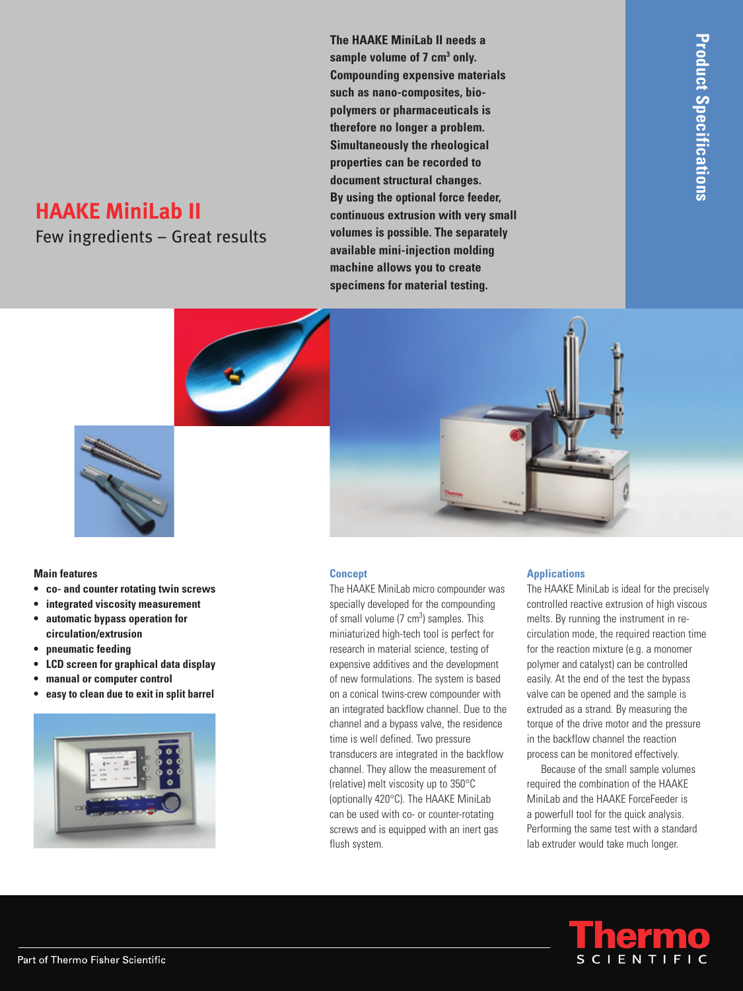# **HAAKE MiniLab II**

Few ingredients – Great results

**The HAAKE MiniLab II needs a**  sample volume of 7 cm<sup>3</sup> only. **Compounding expensive materials such as nano-composites, biopolymers or pharmaceuticals is therefore no longer a problem. Simultaneously the rheological properties can be recorded to document structural changes. By using the optional force feeder, continuous extrusion with very small volumes is possible. The separately available mini-injection molding machine allows you to create specimens for material testing.**



## **Main features**

- **co- and counter rotating twin screws**
- **integrated viscosity measurement**
- **automatic bypass operation for circulation/extrusion**
- **pneumatic feeding**
- **LCD screen for graphical data display**
- **manual or computer control**
- **easy to clean due to exit in split barrel**



#### **Concept**

The HAAKE MiniLab micro compounder was specially developed for the compounding of small volume  $(7 \text{ cm}^3)$  samples. This miniaturized high-tech tool is perfect for research in material science, testing of expensive additives and the development of new formulations. The system is based on a conical twins-crew compounder with an integrated backflow channel. Due to the channel and a bypass valve, the residence time is well defined. Two pressure transducers are integrated in the backflow channel. They allow the measurement of (relative) melt viscosity up to 350°C (optionally 420°C). The HAAKE MiniLab can be used with co- or counter-rotating screws and is equipped with an inert gas flush system.

#### **Applications**

The HAAKE MiniLab is ideal for the precisely controlled reactive extrusion of high viscous melts. By running the instrument in recirculation mode, the required reaction time for the reaction mixture (e.g. a monomer polymer and catalyst) can be controlled easily. At the end of the test the bypass valve can be opened and the sample is extruded as a strand. By measuring the torque of the drive motor and the pressure in the backflow channel the reaction process can be monitored effectively.

Because of the small sample volumes required the combination of the HAAKE MiniLab and the HAAKE ForceFeeder is a powerfull tool for the quick analysis. Performing the same test with a standard lab extruder would take much longer.